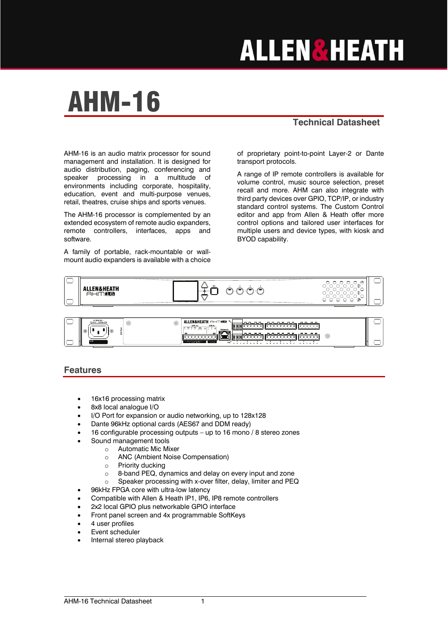# **ALLEN&HEATH**

## AHM-16

#### **Technical Datasheet**

AHM-16 is an audio matrix processor for sound management and installation. It is designed for audio distribution, paging, conferencing and speaker processing in a multitude of environments including corporate, hospitality, education, event and multi-purpose venues, retail, theatres, cruise ships and sports venues.

The AHM-16 processor is complemented by an extended ecosystem of remote audio expanders, remote controllers, interfaces, apps and software.

A family of portable, rack-mountable or wallmount audio expanders is available with a choice

of proprietary point-to-point Layer-2 or Dante transport protocols.

A range of IP remote controllers is available for volume control, music source selection, preset recall and more. AHM can also integrate with third party devices over GPIO, TCP/IP, or industry standard control systems. The Custom Control editor and app from Allen & Heath offer more control options and tailored user interfaces for multiple users and device types, with kiosk and BYOD capability.





#### **Features**

- 16x16 processing matrix
- 8x8 local analoque I/O
- I/O Port for expansion or audio networking, up to 128x128
- Dante 96kHz optional cards (AES67 and DDM ready)
- 16 configurable processing outputs up to 16 mono / 8 stereo zones
- Sound management tools
	- o Automatic Mic Mixer
	- o ANC (Ambient Noise Compensation)
	- o Priority ducking
	- o 8-band PEQ, dynamics and delay on every input and zone
	- o Speaker processing with x-over filter, delay, limiter and PEQ
- 96kHz FPGA core with ultra-low latency
	- Compatible with Allen & Heath IP1, IP6, IP8 remote controllers
- 2x2 local GPIO plus networkable GPIO interface
- Front panel screen and 4x programmable SoftKeys
- 4 user profiles
- Event scheduler
- Internal stereo playback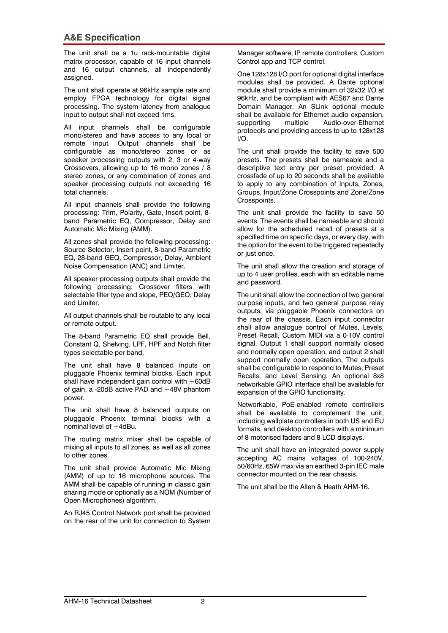#### **A&E Specification**

The unit shall be a 1u rack-mountable digital matrix processor, capable of 16 input channels and 16 output channels, all independently assigned.

The unit shall operate at 96kHz sample rate and employ FPGA technology for digital signal processing. The system latency from analogue input to output shall not exceed 1ms.

All input channels shall be configurable mono/stereo and have access to any local or remote input. Output channels shall be configurable as mono/stereo zones or as speaker processing outputs with 2, 3 or 4-way Crossovers, allowing up to 16 mono zones / 8 stereo zones, or any combination of zones and speaker processing outputs not exceeding 16 total channels.

All input channels shall provide the following processing: Trim, Polarity, Gate, Insert point, 8 band Parametric EQ, Compressor, Delay and Automatic Mic Mixing (AMM).

All zones shall provide the following processing: Source Selector, Insert point, 8-band Parametric EQ, 28-band GEQ, Compressor, Delay, Ambient Noise Compensation (ANC) and Limiter.

All speaker processing outputs shall provide the following processing: Crossover filters with selectable filter type and slope, PEQ/GEQ, Delay and Limiter.

All output channels shall be routable to any local or remote output.

The 8-band Parametric EQ shall provide Bell, Constant Q, Shelving, LPF, HPF and Notch filter types selectable per band.

The unit shall have 8 balanced inputs on pluggable Phoenix terminal blocks. Each input shall have independent gain control with  $+60dB$ of gain, a -20dB active PAD and +48V phantom power.

The unit shall have 8 balanced outputs on pluggable Phoenix terminal blocks with a nominal level of  $+4dBu$ .

The routing matrix mixer shall be capable of mixing all inputs to all zones, as well as all zones to other zones.

The unit shall provide Automatic Mic Mixing (AMM) of up to 16 microphone sources. The AMM shall be capable of running in classic gain sharing mode or optionally as a NOM (Number of Open Microphones) algorithm.

An RJ45 Control Network port shall be provided on the rear of the unit for connection to System

Manager software, IP remote controllers, Custom Control app and TCP control.

One 128x128 I/O port for optional digital interface modules shall be provided. A Dante optional module shall provide a minimum of 32x32 I/O at 96kHz, and be compliant with AES67 and Dante Domain Manager. An SLink optional module shall be available for Ethernet audio expansion, supporting multiple Audio-over-Ethernet protocols and providing access to up to 128x128 I/O.

The unit shall provide the facility to save 500 presets. The presets shall be nameable and a descriptive text entry per preset provided. A crossfade of up to 20 seconds shall be available to apply to any combination of Inputs, Zones, Groups, Input/Zone Crosspoints and Zone/Zone Crosspoints.

The unit shall provide the facility to save 50 events. The events shall be nameable and should allow for the scheduled recall of presets at a specified time on specific days, or every day, with the option for the event to be triggered repeatedly or just once.

The unit shall allow the creation and storage of up to 4 user profiles, each with an editable name and password.

The unit shall allow the connection of two general purpose inputs, and two general purpose relay outputs, via pluggable Phoenix connectors on the rear of the chassis. Each input connector shall allow analogue control of Mutes, Levels, Preset Recall, Custom MIDI via a 0-10V control signal. Output 1 shall support normally closed and normally open operation, and output 2 shall support normally open operation. The outputs shall be configurable to respond to Mutes, Preset Recalls, and Level Sensing. An optional 8x8 networkable GPIO interface shall be available for expansion of the GPIO functionality.

Networkable, PoE-enabled remote controllers shall be available to complement the unit, including wallplate controllers in both US and EU formats, and desktop controllers with a minimum of 8 motorised faders and 8 LCD displays.

The unit shall have an integrated power supply accepting AC mains voltages of 100-240V, 50/60Hz, 65W max via an earthed 3-pin IEC male connector mounted on the rear chassis.

The unit shall be the Allen & Heath AHM-16.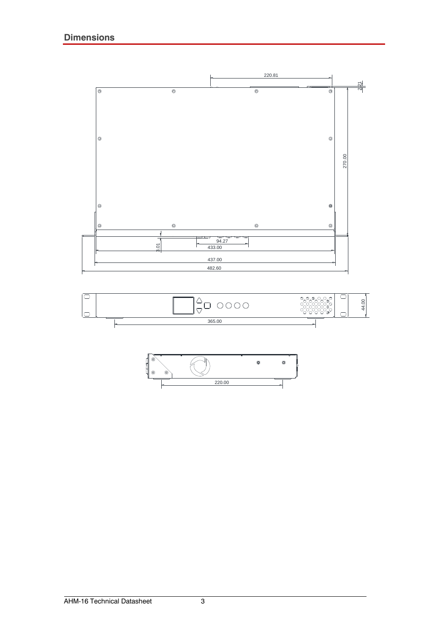



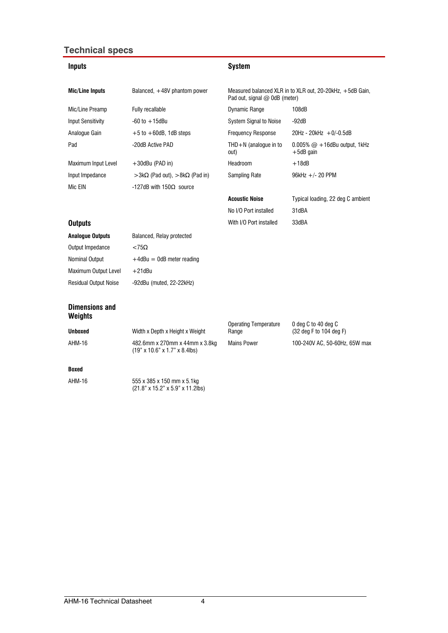#### **Technical specs**

| <b>Inputs</b>                           |                                                                                   | <b>System</b>                                                                              |                                                 |
|-----------------------------------------|-----------------------------------------------------------------------------------|--------------------------------------------------------------------------------------------|-------------------------------------------------|
| <b>Mic/Line Inputs</b>                  | Balanced, +48V phantom power                                                      | Measured balanced XLR in to XLR out, 20-20kHz, +5dB Gain,<br>Pad out, signal @ 0dB (meter) |                                                 |
| Mic/Line Preamp                         | Fully recallable                                                                  | <b>Dynamic Range</b>                                                                       | 108dB                                           |
| <b>Input Sensitivity</b>                | $-60$ to $+15$ dBu                                                                | System Signal to Noise                                                                     | $-92dB$                                         |
| Analogue Gain                           | $+5$ to $+60$ dB, 1dB steps                                                       | <b>Frequency Response</b>                                                                  | $20$ Hz - $20$ kHz + 0/-0.5dB                   |
| Pad                                     | -20dB Active PAD                                                                  | THD $+N$ (analogue in to<br>out)                                                           | $0.005\%$ @ +16dBu output, 1kHz<br>$+5$ dB gain |
| Maximum Input Level                     | $+30$ dBu (PAD in)                                                                | Headroom                                                                                   | $+18dB$                                         |
| Input Impedance                         | $>3k\Omega$ (Pad out), $>8k\Omega$ (Pad in)                                       | Sampling Rate                                                                              | $96kHz +/- 20$ PPM                              |
| Mic EIN                                 | $-127$ dB with 150 $\Omega$ source                                                |                                                                                            |                                                 |
|                                         |                                                                                   | <b>Acoustic Noise</b>                                                                      | Typical loading, 22 deg C ambient               |
|                                         |                                                                                   | No I/O Port installed                                                                      | 31dBA                                           |
| <b>Outputs</b>                          |                                                                                   | With I/O Port installed                                                                    | 33dBA                                           |
| <b>Analogue Outputs</b>                 | Balanced, Relay protected                                                         |                                                                                            |                                                 |
| Output Impedance                        | $< 75\Omega$                                                                      |                                                                                            |                                                 |
| Nominal Output                          | $+4$ dBu = 0dB meter reading                                                      |                                                                                            |                                                 |
| Maximum Output Level                    | $+21$ dBu                                                                         |                                                                                            |                                                 |
| <b>Residual Output Noise</b>            | -92dBu (muted, 22-22kHz)                                                          |                                                                                            |                                                 |
| <b>Dimensions and</b><br><b>Weights</b> |                                                                                   |                                                                                            |                                                 |
|                                         |                                                                                   | <b>Operating Temperature</b>                                                               | 0 deg C to 40 deg C                             |
| <b>Unboxed</b>                          | Width x Depth x Height x Weight                                                   | Range                                                                                      | (32 deg F to 104 deg F)                         |
| AHM-16                                  | 482.6mm x 270mm x 44mm x 3.8kg<br>$(19" \times 10.6" \times 1.7" \times 8.4$ lbs) | <b>Mains Power</b>                                                                         | 100-240V AC, 50-60Hz, 65W max                   |
| <b>Boxed</b>                            |                                                                                   |                                                                                            |                                                 |
| <b>AHM-16</b>                           | 555 x 385 x 150 mm x 5.1kg<br>(21.8" x 15.2" x 5.9" x 11.2lbs)                    |                                                                                            |                                                 |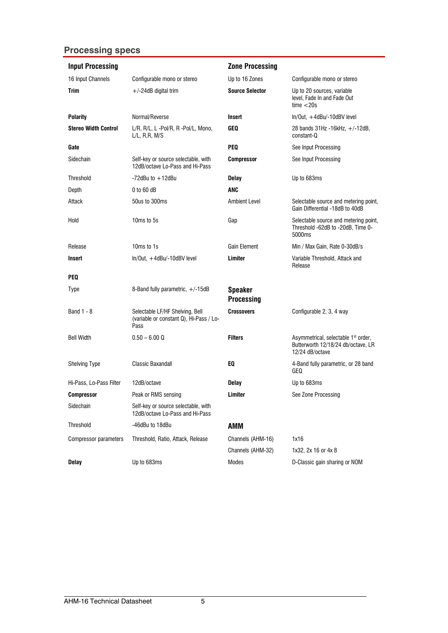### **Processing specs**

| <b>Input Processing</b>     |                                                                                    | <b>Zone Processing</b>              |                                                                                                          |
|-----------------------------|------------------------------------------------------------------------------------|-------------------------------------|----------------------------------------------------------------------------------------------------------|
| 16 Input Channels           | Configurable mono or stereo                                                        | Up to 16 Zones                      | Configurable mono or stereo                                                                              |
| <b>Trim</b>                 | $+/-24dB$ digital trim                                                             | <b>Source Selector</b>              | Up to 20 sources, variable<br>level. Fade In and Fade Out<br>time < 20s                                  |
| <b>Polarity</b>             | Normal/Reverse                                                                     | <b>Insert</b>                       | $ln/Out, +4dBu/-10dBV$ level                                                                             |
| <b>Stereo Width Control</b> | L/R, R/L, L -Pol/R, R -Pol/L, Mono,<br>$L/L$ , R,R, M/S                            | <b>GEQ</b>                          | 28 bands $31Hz - 16kHz$ , $+/-12dB$ ,<br>constant-Q                                                      |
| Gate                        |                                                                                    | <b>PEQ</b>                          | See Input Processing                                                                                     |
| Sidechain                   | Self-key or source selectable, with<br>12dB/octave Lo-Pass and Hi-Pass             | <b>Compressor</b>                   | See Input Processing                                                                                     |
| Threshold                   | $-72$ dBu to $+12$ dBu                                                             | <b>Delay</b>                        | Up to 683ms                                                                                              |
| Depth                       | $0$ to 60 dB                                                                       | <b>ANC</b>                          |                                                                                                          |
| Attack                      | 50us to 300ms                                                                      | Ambient Level                       | Selectable source and metering point,<br>Gain Differential -18dB to 40dB                                 |
| Hold                        | 10 <sub>ms</sub> to 5s                                                             | Gap                                 | Selectable source and metering point,<br>Threshold -62dB to -20dB, Time 0-<br>5000ms                     |
| Release                     | 10 <sub>ms</sub> to 1 <sub>s</sub>                                                 | <b>Gain Element</b>                 | Min / Max Gain, Rate 0-30dB/s                                                                            |
| Insert                      | $ln/Out. + 4dBu/-10dBV$ level                                                      | Limiter                             | Variable Threshold, Attack and<br>Release                                                                |
| <b>PEQ</b>                  |                                                                                    |                                     |                                                                                                          |
| <b>Type</b>                 | 8-Band fully parametric, $+/-15dB$                                                 | <b>Speaker</b><br><b>Processing</b> |                                                                                                          |
| Band 1 - 8                  | Selectable LF/HF Shelving, Bell<br>(variable or constant Q), Hi-Pass / Lo-<br>Pass | <b>Crossovers</b>                   | Configurable 2, 3, 4 way                                                                                 |
| <b>Bell Width</b>           | $0.50 - 6.00 Q$                                                                    | <b>Filters</b>                      | Asymmetrical, selectable 1 <sup>st</sup> order,<br>Butterworth 12/18/24 db/octave, LR<br>12/24 dB/octave |
| <b>Shelving Type</b>        | <b>Classic Baxandall</b>                                                           | EQ.                                 | 4-Band fully parametric, or 28 band<br>GEQ                                                               |
| Hi-Pass, Lo-Pass Filter     | 12dB/octave                                                                        | <b>Delay</b>                        | Up to 683ms                                                                                              |
| Compressor                  | Peak or RMS sensing                                                                | Limiter                             | See Zone Processing                                                                                      |
| Sidechain                   | Self-key or source selectable, with<br>12dB/octave Lo-Pass and Hi-Pass             |                                     |                                                                                                          |
| Threshold                   | -46dBu to 18dBu                                                                    | <b>AMM</b>                          |                                                                                                          |
| Compressor parameters       | Threshold, Ratio, Attack, Release                                                  | Channels (AHM-16)                   | 1x16                                                                                                     |
|                             |                                                                                    | Channels (AHM-32)                   | 1x32, 2x 16 or 4x 8                                                                                      |
| <b>Delay</b>                | Up to 683ms                                                                        | Modes                               | D-Classic gain sharing or NOM                                                                            |